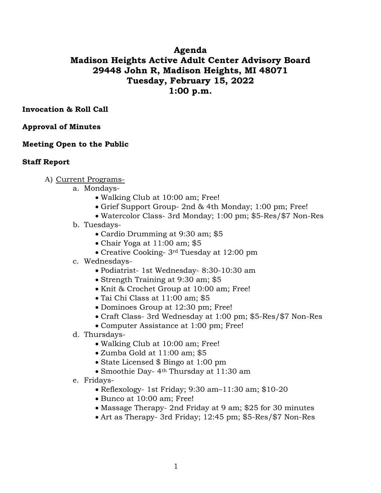# **Agenda Madison Heights Active Adult Center Advisory Board 29448 John R, Madison Heights, MI 48071 Tuesday, February 15, 2022 1:00 p.m.**

#### **Invocation & Roll Call**

#### **Approval of Minutes**

#### **Meeting Open to the Public**

#### **Staff Report**

- A) Current Programs
	- a. Mondays-
		- Walking Club at 10:00 am; Free!
		- Grief Support Group- 2nd & 4th Monday; 1:00 pm; Free!
		- Watercolor Class- 3rd Monday; 1:00 pm; \$5-Res/\$7 Non-Res
	- b. Tuesdays-
		- Cardio Drumming at 9:30 am; \$5
		- Chair Yoga at 11:00 am; \$5
		- Creative Cooking- 3rd Tuesday at 12:00 pm
	- c. Wednesdays-
		- Podiatrist- 1st Wednesday- 8:30-10:30 am
		- Strength Training at 9:30 am; \$5
		- Knit & Crochet Group at 10:00 am; Free!
		- Tai Chi Class at 11:00 am; \$5
		- Dominoes Group at 12:30 pm; Free!
		- Craft Class- 3rd Wednesday at 1:00 pm; \$5-Res/\$7 Non-Res
		- Computer Assistance at 1:00 pm; Free!
	- d. Thursdays-
		- Walking Club at 10:00 am; Free!
		- Zumba Gold at 11:00 am; \$5
		- State Licensed \$ Bingo at 1:00 pm
		- Smoothie Day- 4th Thursday at 11:30 am
	- e. Fridays-
		- Reflexology- 1st Friday; 9:30 am–11:30 am; \$10-20
		- Bunco at 10:00 am; Free!
		- Massage Therapy- 2nd Friday at 9 am; \$25 for 30 minutes
		- Art as Therapy- 3rd Friday; 12:45 pm; \$5-Res/\$7 Non-Res